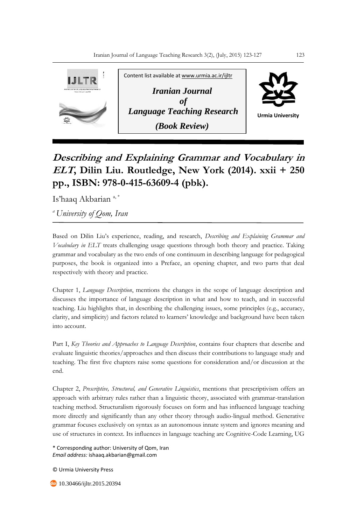

## **Describing and Explaining Grammar and Vocabulary in ELT, Dilin Liu. Routledge, New York (2014). xxii + 250 pp., ISBN: 978-0-415-63609-4 (pbk).**

Is'haaq Akbarian<sup>a,\*</sup>

*<sup>a</sup>University of Qom, Iran*

Based on Dilin Liu's experience, reading, and research, *Describing and Explaining Grammar and Vocabulary in ELT* treats challenging usage questions through both theory and practice. Taking grammar and vocabulary as the two ends of one continuum in describing language for pedagogical purposes, the book is organized into a Preface, an opening chapter, and two parts that deal respectively with theory and practice.

Chapter 1, *Language Description*, mentions the changes in the scope of language description and discusses the importance of language description in what and how to teach, and in successful teaching. Liu highlights that, in describing the challenging issues, some principles (e.g., accuracy, clarity, and simplicity) and factors related to learners' knowledge and background have been taken into account.

Part I, *Key Theories and Approaches to Language Description*, contains four chapters that describe and evaluate linguistic theories/approaches and then discuss their contributions to language study and teaching. The first five chapters raise some questions for consideration and/or discussion at the end.

Chapter 2, *Prescriptive, Structural, and Generative Linguistics*, mentions that prescriptivism offers an approach with arbitrary rules rather than a linguistic theory, associated with grammar-translation teaching method. Structuralism rigorously focuses on form and has influenced language teaching more directly and significantly than any other theory through audio-lingual method. Generative grammar focuses exclusively on syntax as an autonomous innate system and ignores meaning and use of structures in context. Its influences in language teaching are Cognitive-Code Learning, UG

\* Corresponding author: University of Qom, Iran *Email address:* ishaaq.akbarian@gmail.com

© Urmia University Press

**40** 10.30466/ijltr.2015.20394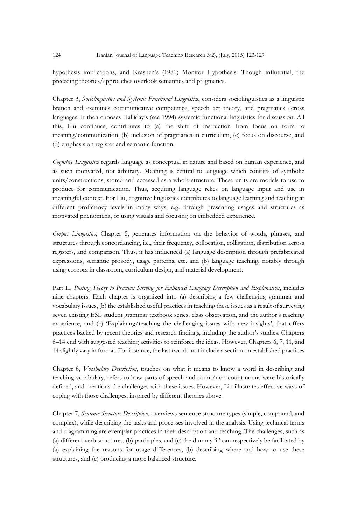hypothesis implications, and Krashen's (1981) Monitor Hypothesis. Though influential, the preceding theories/approaches overlook semantics and pragmatics.

Chapter 3, *Sociolinguistics and Systemic Functional Linguistics*, considers sociolinguistics as a linguistic branch and examines communicative competence, speech act theory, and pragmatics across languages. It then chooses Halliday's (see 1994) systemic functional linguistics for discussion. All this, Liu continues, contributes to (a) the shift of instruction from focus on form to meaning/communication, (b) inclusion of pragmatics in curriculum, (c) focus on discourse, and (d) emphasis on register and semantic function.

*Cognitive Linguistics* regards language as conceptual in nature and based on human experience, and as such motivated, not arbitrary. Meaning is central to language which consists of symbolic units/constructions, stored and accessed as a whole structure. These units are models to use to produce for communication. Thus, acquiring language relies on language input and use in meaningful context. For Liu, cognitive linguistics contributes to language learning and teaching at different proficiency levels in many ways, e.g. through presenting usages and structures as motivated phenomena, or using visuals and focusing on embedded experience.

*Corpus Linguistics*, Chapter 5, generates information on the behavior of words, phrases, and structures through concordancing, i.e., their frequency, collocation, colligation, distribution across registers, and comparison. Thus, it has influenced (a) language description through prefabricated expressions, semantic prosody, usage patterns, etc. and (b) language teaching, notably through using corpora in classroom, curriculum design, and material development.

Part II, *Putting Theory to Practice: Striving for Enhanced Language Description and Explanation*, includes nine chapters. Each chapter is organized into (a) describing a few challenging grammar and vocabulary issues, (b) the established useful practices in teaching these issues as a result of surveying seven existing ESL student grammar textbook series, class observation, and the author's teaching experience, and (c) 'Explaining/teaching the challenging issues with new insights', that offers practices backed by recent theories and research findings, including the author's studies. Chapters 6–14 end with suggested teaching activities to reinforce the ideas. However, Chapters 6, 7, 11, and 14 slightly vary in format. For instance, the last two do not include a section on established practices

Chapter 6, *Vocabulary Description*, touches on what it means to know a word in describing and teaching vocabulary, refers to how parts of speech and count/non-count nouns were historically defined, and mentions the challenges with these issues. However, Liu illustrates effective ways of coping with those challenges, inspired by different theories above.

Chapter 7, *Sentence Structure Description*, overviews sentence structure types (simple, compound, and complex), while describing the tasks and processes involved in the analysis. Using technical terms and diagramming are exemplar practices in their description and teaching. The challenges, such as (a) different verb structures, (b) participles, and (c) the dummy 'it' can respectively be facilitated by (a) explaining the reasons for usage differences, (b) describing where and how to use these structures, and (c) producing a more balanced structure.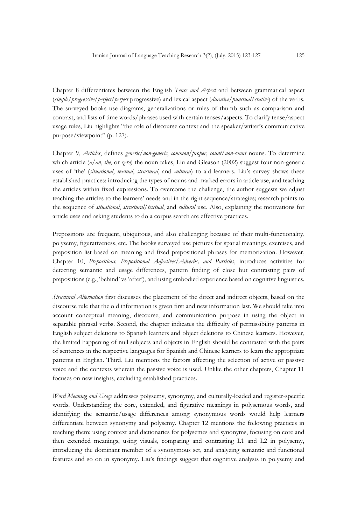Chapter 8 differentiates between the English *Tense and Aspect* and between grammatical aspect (*simple/progressive/perfect/perfect* progressive) and lexical aspect (*durative/punctual/stative*) of the verbs. The surveyed books use diagrams, generalizations or rules of thumb such as comparison and contrast, and lists of time words/phrases used with certain tenses/aspects. To clarify tense/aspect usage rules, Liu highlights "the role of discourse context and the speaker/writer's communicative purpose/viewpoint" (p. 127).

Chapter 9, *Articles*, defines *generic/non-generic*, *common*/*proper*, *count/non-count* nouns. To determine which article (*a*/*an*, *the*, or *zero*) the noun takes, Liu and Gleason (2002) suggest four non-generic uses of 'the' (*situational*, *textual*, *structural*, and *cultural*) to aid learners. Liu's survey shows these established practices: introducing the types of nouns and marked errors in article use, and teaching the articles within fixed expressions. To overcome the challenge, the author suggests we adjust teaching the articles to the learners' needs and in the right sequence/strategies; research points to the sequence of *situational*, *structural*/*textual*, and *cultural* use. Also, explaining the motivations for article uses and asking students to do a corpus search are effective practices.

Prepositions are frequent, ubiquitous, and also challenging because of their multi-functionality, polysemy, figurativeness, etc. The books surveyed use pictures for spatial meanings, exercises, and preposition list based on meaning and fixed prepositional phrases for memorization. However, Chapter 10, *Prepositions, Prepositional Adjectives/Adverbs, and Particles*, introduces activities for detecting semantic and usage differences, pattern finding of close but contrasting pairs of prepositions (e.g., 'behind' vs 'after'), and using embodied experience based on cognitive linguistics.

*Structural Alternation* first discusses the placement of the direct and indirect objects, based on the discourse rule that the old information is given first and new information last. We should take into account conceptual meaning, discourse, and communication purpose in using the object in separable phrasal verbs. Second, the chapter indicates the difficulty of permissibility patterns in English subject deletions to Spanish learners and object deletions to Chinese learners. However, the limited happening of null subjects and objects in English should be contrasted with the pairs of sentences in the respective languages for Spanish and Chinese learners to learn the appropriate patterns in English. Third, Liu mentions the factors affecting the selection of active or passive voice and the contexts wherein the passive voice is used. Unlike the other chapters, Chapter 11 focuses on new insights, excluding established practices.

*Word Meaning and Usage* addresses polysemy, synonymy, and culturally-loaded and register-specific words. Understanding the core, extended, and figurative meanings in polysemous words, and identifying the semantic/usage differences among synonymous words would help learners differentiate between synonymy and polysemy. Chapter 12 mentions the following practices in teaching them: using context and dictionaries for polysemes and synonyms, focusing on core and then extended meanings, using visuals, comparing and contrasting L1 and L2 in polysemy, introducing the dominant member of a synonymous set, and analyzing semantic and functional features and so on in synonymy. Liu's findings suggest that cognitive analysis in polysemy and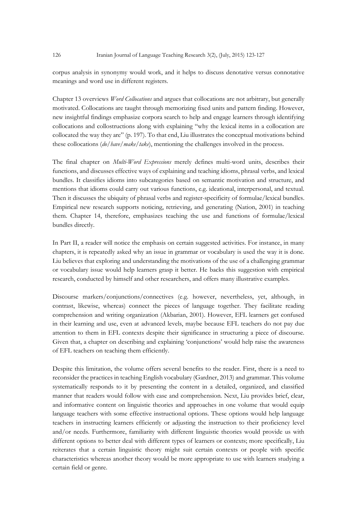corpus analysis in synonymy would work, and it helps to discuss denotative versus connotative meanings and word use in different registers.

Chapter 13 overviews *Word Collocations* and argues that collocations are not arbitrary, but generally motivated. Collocations are taught through memorizing fixed units and pattern finding. However, new insightful findings emphasize corpora search to help and engage learners through identifying collocations and collostructions along with explaining "why the lexical items in a collocation are collocated the way they are" (p. 197). To that end, Liu illustrates the conceptual motivations behind these collocations (*do/have/make/take*), mentioning the challenges involved in the process.

The final chapter on *Multi-Word Expressions* merely defines multi-word units, describes their functions, and discusses effective ways of explaining and teaching idioms, phrasal verbs, and lexical bundles. It classifies idioms into subcategories based on semantic motivation and structure, and mentions that idioms could carry out various functions, e.g. ideational, interpersonal, and textual. Then it discusses the ubiquity of phrasal verbs and register-specificity of formulae/lexical bundles. Empirical new research supports noticing, retrieving, and generating (Nation, 2001) in teaching them. Chapter 14, therefore, emphasizes teaching the use and functions of formulae/lexical bundles directly.

In Part II, a reader will notice the emphasis on certain suggested activities. For instance, in many chapters, it is repeatedly asked why an issue in grammar or vocabulary is used the way it is done. Liu believes that exploring and understanding the motivations of the use of a challenging grammar or vocabulary issue would help learners grasp it better. He backs this suggestion with empirical research, conducted by himself and other researchers, and offers many illustrative examples.

Discourse markers/conjunctions/connectives (e.g. however, nevertheless, yet, although, in contrast, likewise, whereas) connect the pieces of language together. They facilitate reading comprehension and writing organization (Akbarian, 2001). However, EFL learners get confused in their learning and use, even at advanced levels, maybe because EFL teachers do not pay due attention to them in EFL contexts despite their significance in structuring a piece of discourse. Given that, a chapter on describing and explaining 'conjunctions' would help raise the awareness of EFL teachers on teaching them efficiently.

Despite this limitation, the volume offers several benefits to the reader. First, there is a need to reconsider the practices in teaching English vocabulary (Gardner, 2013) and grammar. This volume systematically responds to it by presenting the content in a detailed, organized, and classified manner that readers would follow with ease and comprehension. Next, Liu provides brief, clear, and informative content on linguistic theories and approaches in one volume that would equip language teachers with some effective instructional options. These options would help language teachers in instructing learners efficiently or adjusting the instruction to their proficiency level and/or needs. Furthermore, familiarity with different linguistic theories would provide us with different options to better deal with different types of learners or contexts; more specifically, Liu reiterates that a certain linguistic theory might suit certain contexts or people with specific characteristics whereas another theory would be more appropriate to use with learners studying a certain field or genre.